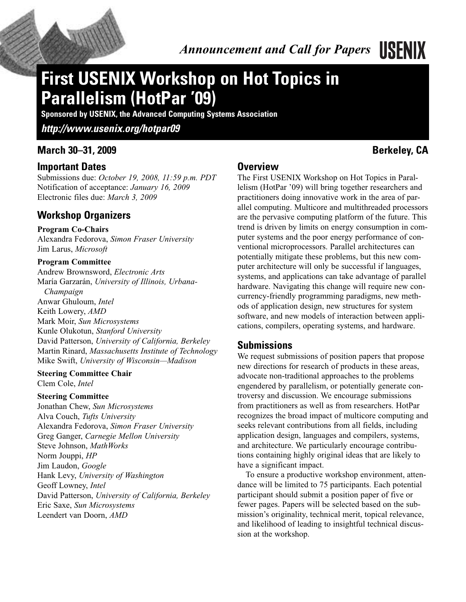

# **First USENIX Workshop on Hot Topics in Parallelism (HotPar '09)**

**Sponsored by USENIX, the Advanced Computing Systems Association**

*http://www.usenix.org/hotpar09*

# **March 30–31, 2009 Berkeley, CA**

### **Important Dates**

Submissions due: *October 19, 2008, 11:59 p.m. PDT* Notification of acceptance: *January 16, 2009* Electronic files due: *March 3, 2009*

# **Workshop Organizers**

#### **Program Co-Chairs**

Alexandra Fedorova, *Simon Fraser University* Jim Larus, *Microsoft*

#### **Program Committee**

Andrew Brownsword, *Electronic Arts* María Garzarán, *University of Illinois, Urbana-Champaign* Anwar Ghuloum, *Intel* Keith Lowery, *AMD* Mark Moir, *Sun Microsystems* Kunle Olukotun, *Stanford University* David Patterson, *University of California, Berkeley* Martin Rinard, *Massachusetts Institute of Technology* Mike Swift, *University of Wisconsin—Madison*

#### **Steering Committee Chair**

Clem Cole, *Intel*

#### **Steering Committee**

Jonathan Chew, *Sun Microsystems* Alva Couch, *Tufts University* Alexandra Fedorova, *Simon Fraser University* Greg Ganger, *Carnegie Mellon University* Steve Johnson, *MathWorks* Norm Jouppi, *HP* Jim Laudon, *Google* Hank Levy, *University of Washington* Geoff Lowney, *Intel* David Patterson, *University of California, Berkeley* Eric Saxe, *Sun Microsystems* Leendert van Doorn, *AMD*

#### **Overview**

The First USENIX Workshop on Hot Topics in Parallelism (HotPar '09) will bring together researchers and practitioners doing innovative work in the area of parallel computing. Multicore and multithreaded processors are the pervasive computing platform of the future. This trend is driven by limits on energy consumption in computer systems and the poor energy performance of conventional microprocessors. Parallel architectures can potentially mitigate these problems, but this new computer architecture will only be successful if languages, systems, and applications can take advantage of parallel hardware. Navigating this change will require new concurrency-friendly programming paradigms, new methods of application design, new structures for system software, and new models of interaction between applications, compilers, operating systems, and hardware.

## **Submissions**

We request submissions of position papers that propose new directions for research of products in these areas, advocate non-traditional approaches to the problems engendered by parallelism, or potentially generate controversy and discussion. We encourage submissions from practitioners as well as from researchers. HotPar recognizes the broad impact of multicore computing and seeks relevant contributions from all fields, including application design, languages and compilers, systems, and architecture. We particularly encourage contributions containing highly original ideas that are likely to have a significant impact.

To ensure a productive workshop environment, attendance will be limited to 75 participants. Each potential participant should submit a position paper of five or fewer pages. Papers will be selected based on the submission's originality, technical merit, topical relevance, and likelihood of leading to insightful technical discussion at the workshop.